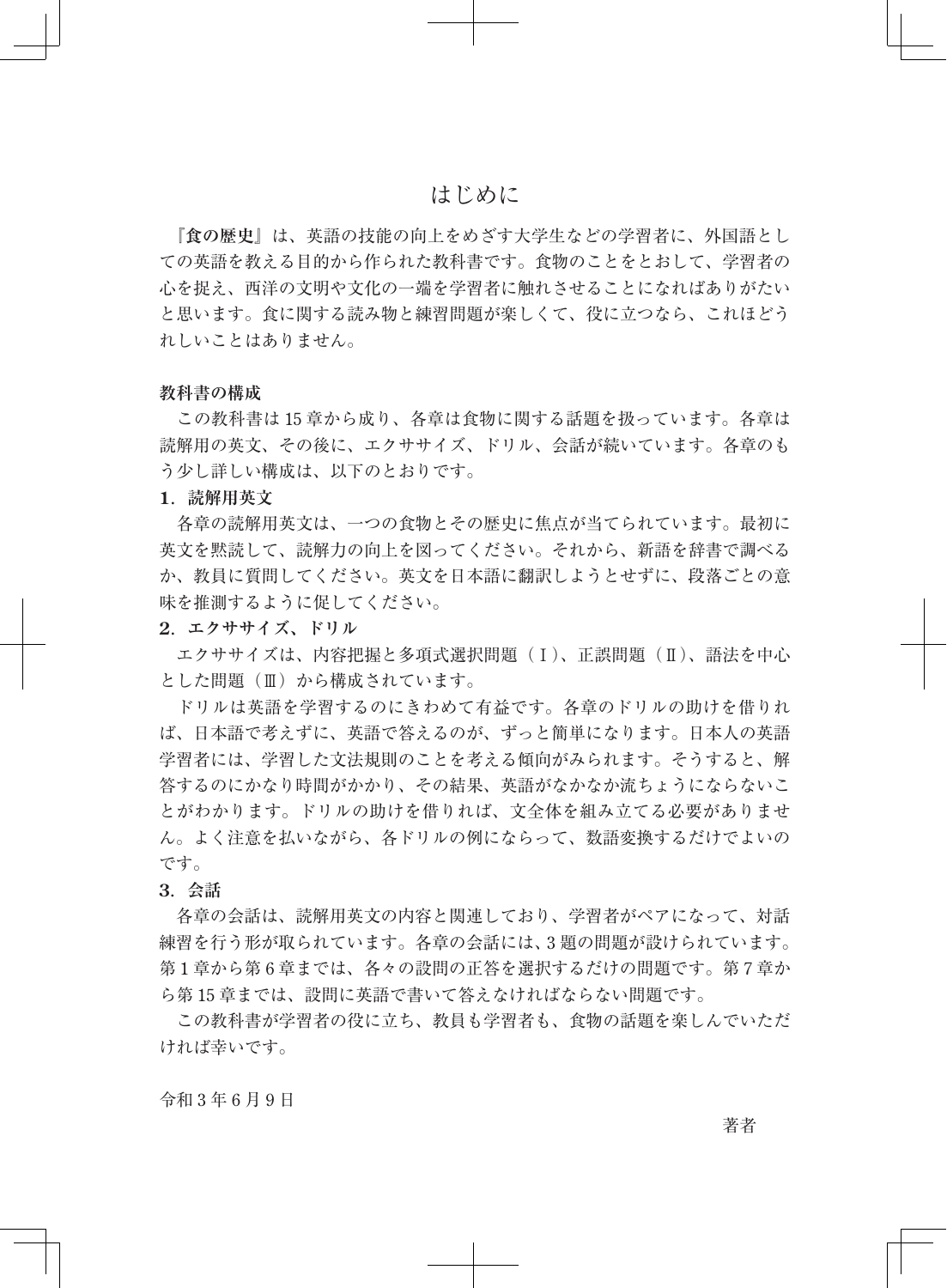### はじめに

**『食の歴史』**は、英語の技能の向上をめざす大学生などの学習者に、外国語とし ての英語を教える目的から作られた教科書です。食物のことをとおして、学習者の 心を捉え、西洋の文明や文化の一端を学習者に触れさせることになればありがたい と思います。食に関する読み物と練習問題が楽しくて、役に立つなら、これほどう れしいことはありません。

#### **教科書の構成**

この教科書は 15 章から成り、各章は食物に関する話題を扱っています。各章は 読解用の英文、その後に、エクササイズ、ドリル、会話が続いています。各章のも う少し詳しい構成は、以下のとおりです。

### **1.読解用英文**

各章の読解用英文は、一つの食物とその歴史に焦点が当てられています。最初に 英文を黙読して、読解力の向上を図ってください。それから、新語を辞書で調べる か、教員に質問してください。英文を日本語に翻訳しようとせずに、段落ごとの意 味を推測するように促してください。

**2.エクササイズ、ドリル**

エクササイズは、内容把握と多項式選択問題(Ⅰ)、正誤問題(Ⅱ)、語法を中心 とした問題(Ⅲ)から構成されています。

ドリルは英語を学習するのにきわめて有益です。各章のドリルの助けを借りれ ば、日本語で考えずに、英語で答えるのが、ずっと簡単になります。日本人の英語 学習者には、学習した文法規則のことを考える傾向がみられます。そうすると、解 答するのにかなり時間がかかり、その結果、英語がなかなか流ちょうにならないこ とがわかります。ドリルの助けを借りれば、文全体を組み立てる必要がありませ ん。よく注意を払いながら、各ドリルの例にならって、数語変換するだけでよいの です。

### **3.会話**

各章の会話は、読解用英文の内容と関連しており、学習者がペアになって、対話 練習を行う形が取られています。各章の会話には、3 題の問題が設けられています。 第 1 章から第 6 章までは、各々の設問の正答を選択するだけの問題です。第 7 章か ら第 15 章までは、設問に英語で書いて答えなければならない問題です。

この教科書が学習者の役に立ち、教員も学習者も、食物の話題を楽しんでいただ ければ幸いです。

令和 3 年 6 月 9 日

著者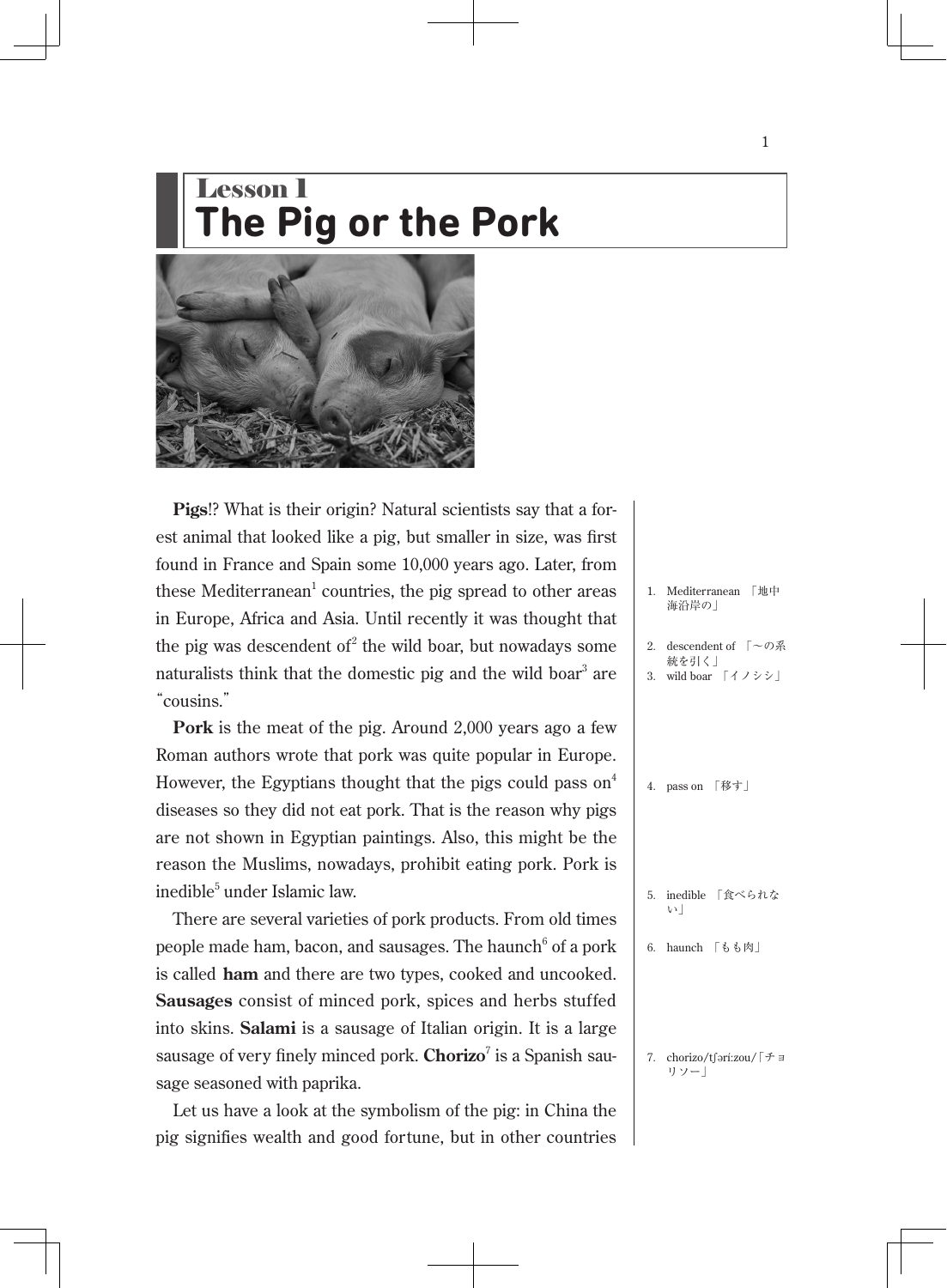# **Lesson** 1 **The Pig or the Pork**



**Pigs**!? What is their origin? Natural scientists say that a forest animal that looked like a pig, but smaller in size, was first found in France and Spain some 10,000 years ago. Later, from these Mediterranean<sup>1</sup> countries, the pig spread to other areas in Europe, Africa and Asia. Until recently it was thought that the pig was descendent of $^2$  the wild boar, but nowadays some naturalists think that the domestic pig and the wild boar <sup>3</sup> are "cousins."

**Pork** is the meat of the pig. Around 2,000 years ago a few Roman authors wrote that pork was quite popular in Europe. However, the Egyptians thought that the pigs could pass on  $4$ diseases so they did not eat pork. That is the reason why pigs are not shown in Egyptian paintings. Also, this might be the reason the Muslims, nowadays, prohibit eating pork. Pork is inedible<sup>5</sup> under Islamic law.

There are several varieties of pork products. From old times people made ham, bacon, and sausages. The haunch<sup> $6$ </sup> of a pork is called **ham** and there are two types, cooked and uncooked. **Sausages** consist of minced pork, spices and herbs stuffed into skins. **Salami** is a sausage of Italian origin. It is a large sausage of very finely minced pork. **Chorizo**<sup>7</sup> is a Spanish sausage seasoned with paprika.

Let us have a look at the symbolism of the pig: in China the pig signifies wealth and good fortune, but in other countries

| 海沿岸の                                                                              |
|-----------------------------------------------------------------------------------|
| 2. descendent of $\lceil \sim \mathcal{O} \rceil$<br>統を引く」<br>3. wild boar 「イノシシ」 |
| 4. pass on 「移す」                                                                   |
| 5. inedible 「食べられな<br>いー                                                          |

1. Mediterranean 「地中

```
6. haunch 「もも肉」
```

```
7. chorizo/tʃəríːzou/「チョ
リソー」
```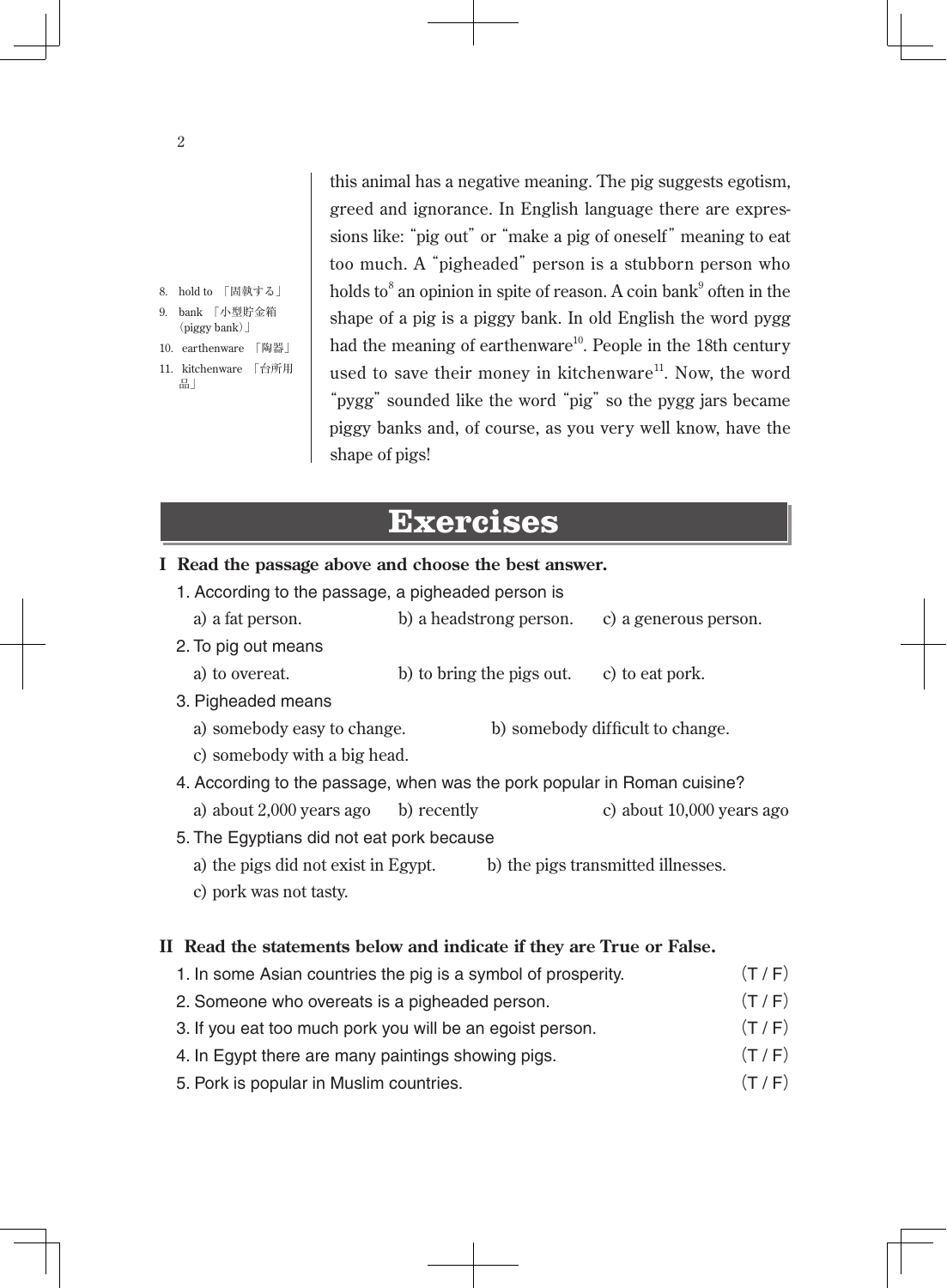8. hold to 「固執する」 bank 「小型貯金箱 (piggy bank)」 10. earthenware 「陶器」 11. kitchenware 「台所用

品」

this animal has a negative meaning. The pig suggests egotism, greed and ignorance. In English language there are expressions like: "pig out" or "make a pig of oneself" meaning to eat too much. A "pigheaded" person is a stubborn person who holds to<sup>8</sup> an opinion in spite of reason. A coin bank<sup>9</sup> often in the shape of a pig is a piggy bank. In old English the word pygg had the meaning of earthenware<sup>10</sup>. People in the 18th century used to save their money in kitchenware<sup>11</sup>. Now, the word "pygg" sounded like the word "pig" so the pygg jars became piggy banks and, of course, as you very well know, have the shape of pigs!

### **Exercises**

- **I Read the passage above and choose the best answer.**
	- 1. According to the passage, a pigheaded person is
	- a) a fat person. b) a headstrong person. c) a generous person.
	- 2. To pig out means
		- a) to overeat. b) to bring the pigs out. c) to eat pork.
	- 3. Pigheaded means
		- a) somebody easy to change. b) somebody difficult to change.
		- c) somebody with a big head.
	- 4. According to the passage, when was the pork popular in Roman cuisine? a) about 2,000 years ago b) recently c) about 10,000 years ago
	- 5. The Egyptians did not eat pork because
		- a) the pigs did not exist in Egypt. b) the pigs transmitted illnesses.
		- c) pork was not tasty.

### **II Read the statements below and indicate if they are True or False.**

- 1. In some Asian countries the pig is a symbol of prosperity.  $(T / F)$
- 2. Someone who overeats is a pigheaded person.  $(T / F)$
- 3. If you eat too much pork you will be an egoist person.  $(T / F)$
- 4. In Egypt there are many paintings showing pigs.  $(T / F)$
- 5. Pork is popular in Muslim countries. (T / F)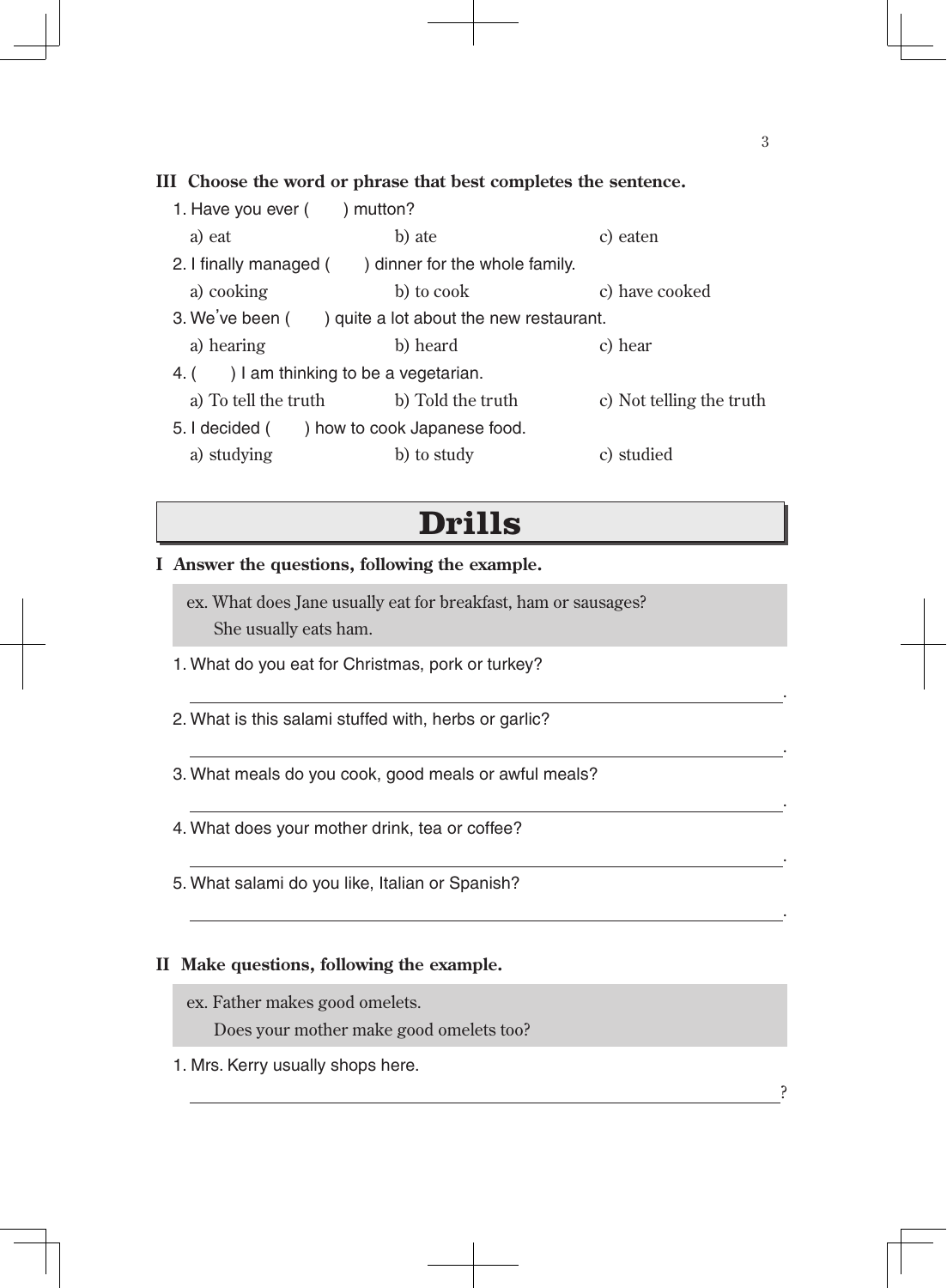### **III Choose the word or phrase that best completes the sentence.**

| 1. Have you ever $($ ) mutton?                         |                                            |                          |  |
|--------------------------------------------------------|--------------------------------------------|--------------------------|--|
| a) eat                                                 | b) ate                                     | c) eaten                 |  |
| 2. I finally managed () dinner for the whole family.   |                                            |                          |  |
| a) cooking                                             | b) to cook                                 | c) have cooked           |  |
| 3. We've been () quite a lot about the new restaurant. |                                            |                          |  |
| a) hearing                                             | b) heard                                   | c) hear                  |  |
| 4. $($ ) I am thinking to be a vegetarian.             |                                            |                          |  |
|                                                        | a) To tell the truth b) Told the truth     | c) Not telling the truth |  |
|                                                        | 5. I decided () how to cook Japanese food. |                          |  |
| a) studying                                            | b) to study                                | c) studied               |  |

## **Drills**

### **I Answer the questions, following the example.**

- ex. What does Jane usually eat for breakfast, ham or sausages? She usually eats ham.
- 1. What do you eat for Christmas, pork or turkey?
- 2. What is this salami stuffed with, herbs or garlic?
- 3. What meals do you cook, good meals or awful meals?
- 4. What does your mother drink, tea or coffee?
- 5. What salami do you like, Italian or Spanish?

### **II Make questions, following the example.**

ex. Father makes good omelets.

Does your mother make good omelets too?

1. Mrs. Kerry usually shops here.

?

.

.

.

.

.

3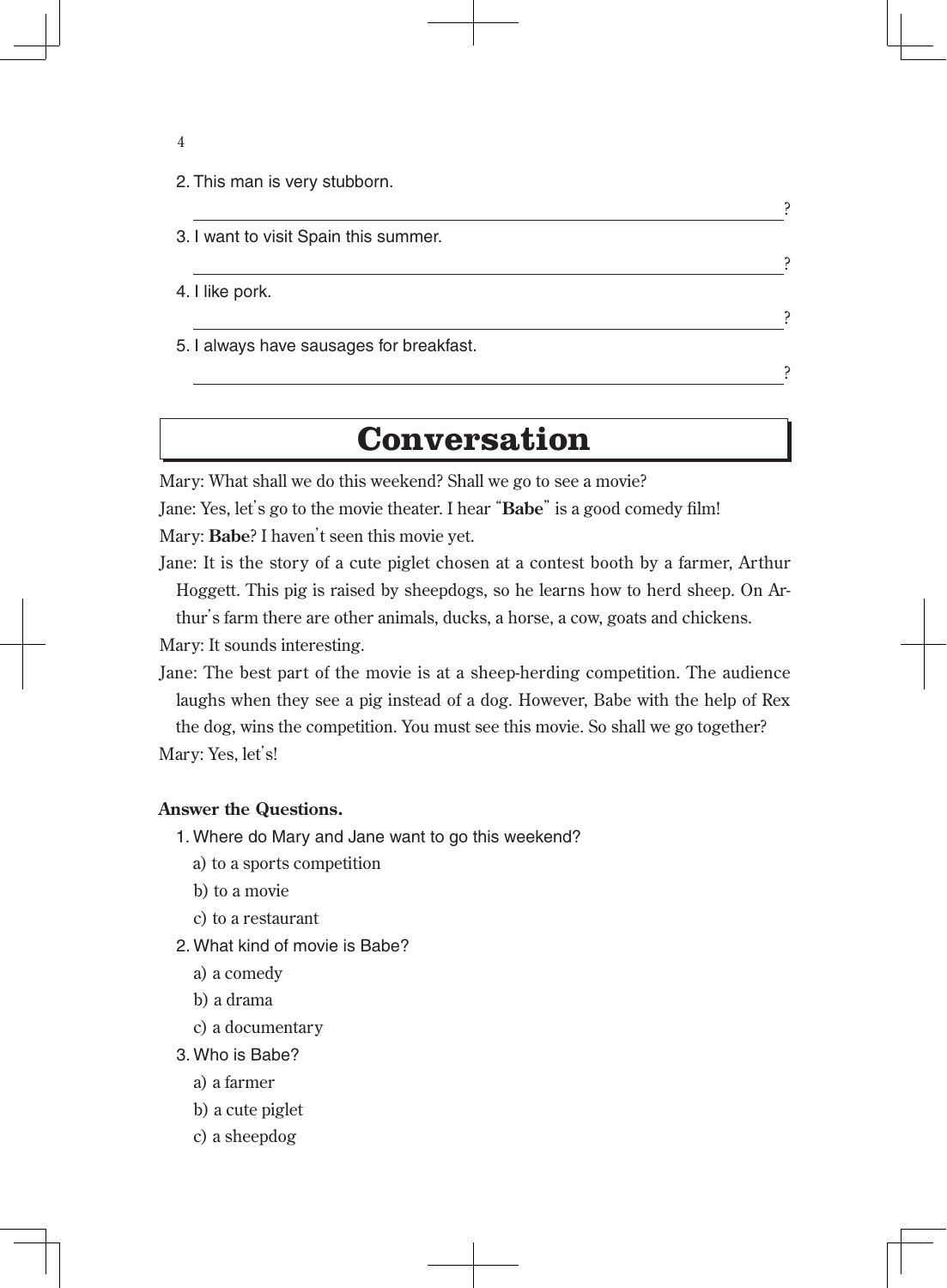2. This man is very stubborn.

3. I want to visit Spain this summer.

4. I like pork.

4

5. I always have sausages for breakfast.

**Conversation**

?

?<br>.

?

?

Mary: What shall we do this weekend? Shall we go to see a movie?

Jane: Yes, let's go to the movie theater. I hear"**Babe**"is a good comedy film!

Mary: **Babe**? I haven't seen this movie yet.

Jane: It is the story of a cute piglet chosen at a contest booth by a farmer, Arthur Hoggett. This pig is raised by sheepdogs, so he learns how to herd sheep. On Arthur's farm there are other animals, ducks, a horse, a cow, goats and chickens.

Mary: It sounds interesting.

Jane: The best part of the movie is at a sheep-herding competition. The audience laughs when they see a pig instead of a dog. However, Babe with the help of Rex the dog, wins the competition. You must see this movie. So shall we go together? Mary: Yes, let's!

### **Answer the Questions.**

- 1. Where do Mary and Jane want to go this weekend?
	- a) to a sports competition
	- b) to a movie
	- c) to a restaurant
- 2. What kind of movie is Babe?
	- a) a comedy
	- b) a drama
	- c) a documentary

3. Who is Babe?

- a) a farmer
- b) a cute piglet
- c) a sheepdog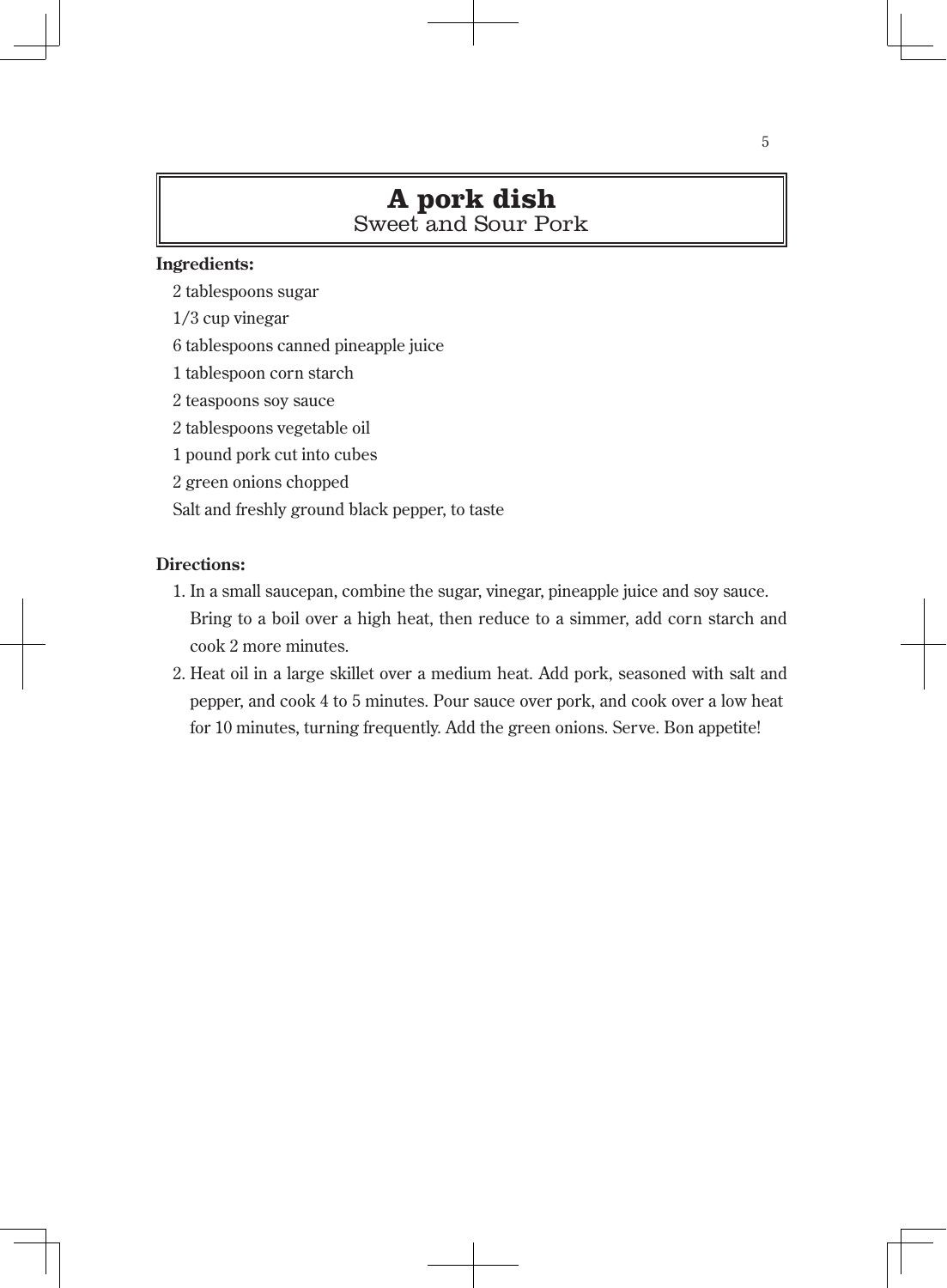# **A pork dish**

Sweet and Sour Pork

### **Ingredients:**

- 2 tablespoons sugar
- 1/3 cup vinegar
- 6 tablespoons canned pineapple juice
- 1 tablespoon corn starch
- 2 teaspoons soy sauce
- 2 tablespoons vegetable oil
- 1 pound pork cut into cubes
- 2 green onions chopped
- Salt and freshly ground black pepper, to taste

### **Directions:**

- 1. In a small saucepan, combine the sugar, vinegar, pineapple juice and soy sauce. Bring to a boil over a high heat, then reduce to a simmer, add corn starch and cook 2 more minutes.
- 2. Heat oil in a large skillet over a medium heat. Add pork, seasoned with salt and pepper, and cook 4 to 5 minutes. Pour sauce over pork, and cook over a low heat for 10 minutes, turning frequently. Add the green onions. Serve. Bon appetite!